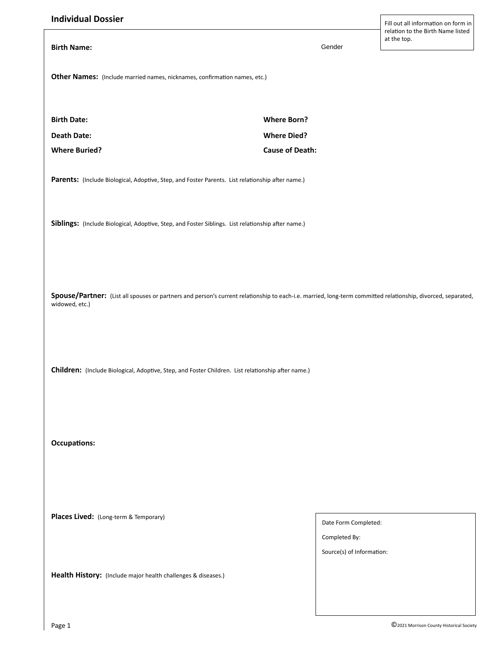| <b>Individual Dossier</b>                                                                                                                                                      |                           | Fill out all information on form in              |                                                                                                    |  |  |
|--------------------------------------------------------------------------------------------------------------------------------------------------------------------------------|---------------------------|--------------------------------------------------|----------------------------------------------------------------------------------------------------|--|--|
|                                                                                                                                                                                |                           | relation to the Birth Name listed<br>at the top. |                                                                                                    |  |  |
| <b>Birth Name:</b>                                                                                                                                                             | Gender                    |                                                  |                                                                                                    |  |  |
|                                                                                                                                                                                |                           |                                                  |                                                                                                    |  |  |
| Other Names: (Include married names, nicknames, confirmation names, etc.)                                                                                                      |                           |                                                  |                                                                                                    |  |  |
|                                                                                                                                                                                |                           |                                                  |                                                                                                    |  |  |
| <b>Birth Date:</b>                                                                                                                                                             | <b>Where Born?</b>        |                                                  |                                                                                                    |  |  |
| <b>Death Date:</b>                                                                                                                                                             | <b>Where Died?</b>        |                                                  |                                                                                                    |  |  |
| <b>Where Buried?</b>                                                                                                                                                           | <b>Cause of Death:</b>    |                                                  |                                                                                                    |  |  |
|                                                                                                                                                                                |                           |                                                  |                                                                                                    |  |  |
| Parents: (Include Biological, Adoptive, Step, and Foster Parents. List relationship after name.)                                                                               |                           |                                                  |                                                                                                    |  |  |
|                                                                                                                                                                                |                           |                                                  |                                                                                                    |  |  |
|                                                                                                                                                                                |                           |                                                  |                                                                                                    |  |  |
| Siblings: (Include Biological, Adoptive, Step, and Foster Siblings. List relationship after name.)                                                                             |                           |                                                  |                                                                                                    |  |  |
|                                                                                                                                                                                |                           |                                                  |                                                                                                    |  |  |
|                                                                                                                                                                                |                           |                                                  |                                                                                                    |  |  |
|                                                                                                                                                                                |                           |                                                  |                                                                                                    |  |  |
| Spouse/Partner: (List all spouses or partners and person's current relationship to each-i.e. married, long-term committed relationship, divorced, separated,<br>widowed, etc.) |                           |                                                  |                                                                                                    |  |  |
|                                                                                                                                                                                |                           |                                                  |                                                                                                    |  |  |
|                                                                                                                                                                                |                           |                                                  | Children: (Include Biological, Adoptive, Step, and Foster Children. List relationship after name.) |  |  |
|                                                                                                                                                                                |                           |                                                  |                                                                                                    |  |  |
|                                                                                                                                                                                |                           |                                                  |                                                                                                    |  |  |
| <b>Occupations:</b>                                                                                                                                                            |                           |                                                  |                                                                                                    |  |  |
|                                                                                                                                                                                |                           |                                                  |                                                                                                    |  |  |
|                                                                                                                                                                                |                           |                                                  |                                                                                                    |  |  |
| Places Lived: (Long-term & Temporary)                                                                                                                                          |                           |                                                  |                                                                                                    |  |  |
|                                                                                                                                                                                | Date Form Completed:      |                                                  |                                                                                                    |  |  |
|                                                                                                                                                                                | Completed By:             |                                                  |                                                                                                    |  |  |
|                                                                                                                                                                                | Source(s) of Information: |                                                  |                                                                                                    |  |  |
| Health History: (Include major health challenges & diseases.)                                                                                                                  |                           |                                                  |                                                                                                    |  |  |